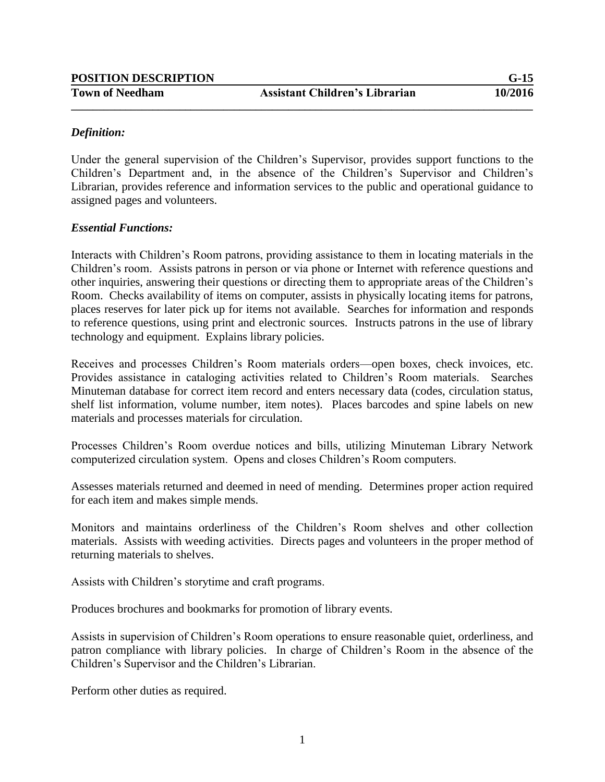| <b>POSITION DESCRIPTION</b> |                                       | $G-15$  |
|-----------------------------|---------------------------------------|---------|
| <b>Town of Needham</b>      | <b>Assistant Children's Librarian</b> | 10/2016 |

## *Definition:*

Under the general supervision of the Children's Supervisor, provides support functions to the Children's Department and, in the absence of the Children's Supervisor and Children's Librarian, provides reference and information services to the public and operational guidance to assigned pages and volunteers.

#### *Essential Functions:*

Interacts with Children's Room patrons, providing assistance to them in locating materials in the Children's room. Assists patrons in person or via phone or Internet with reference questions and other inquiries, answering their questions or directing them to appropriate areas of the Children's Room. Checks availability of items on computer, assists in physically locating items for patrons, places reserves for later pick up for items not available. Searches for information and responds to reference questions, using print and electronic sources. Instructs patrons in the use of library technology and equipment. Explains library policies.

Receives and processes Children's Room materials orders—open boxes, check invoices, etc. Provides assistance in cataloging activities related to Children's Room materials. Searches Minuteman database for correct item record and enters necessary data (codes, circulation status, shelf list information, volume number, item notes). Places barcodes and spine labels on new materials and processes materials for circulation.

Processes Children's Room overdue notices and bills, utilizing Minuteman Library Network computerized circulation system. Opens and closes Children's Room computers.

Assesses materials returned and deemed in need of mending. Determines proper action required for each item and makes simple mends.

Monitors and maintains orderliness of the Children's Room shelves and other collection materials. Assists with weeding activities. Directs pages and volunteers in the proper method of returning materials to shelves.

Assists with Children's storytime and craft programs.

Produces brochures and bookmarks for promotion of library events.

Assists in supervision of Children's Room operations to ensure reasonable quiet, orderliness, and patron compliance with library policies. In charge of Children's Room in the absence of the Children's Supervisor and the Children's Librarian.

Perform other duties as required.